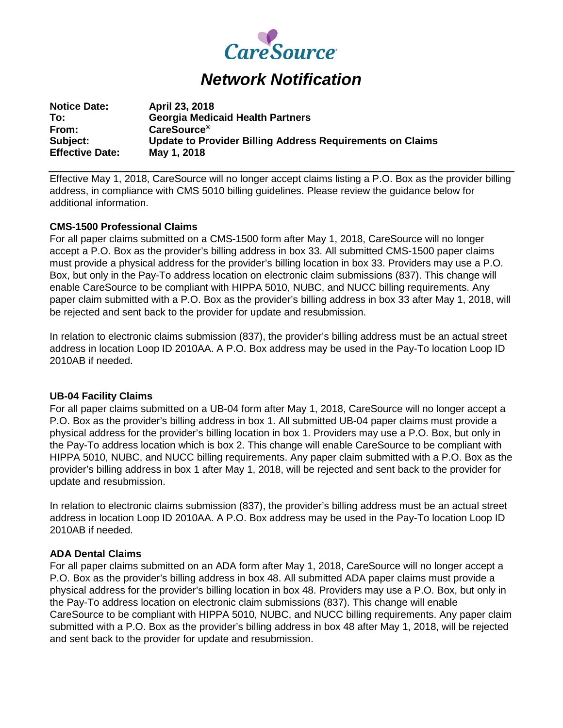

# *Network Notification*

| <b>Notice Date:</b>    | April 23, 2018                                            |
|------------------------|-----------------------------------------------------------|
| To:                    | <b>Georgia Medicaid Health Partners</b>                   |
| From:                  | CareSource <sup>®</sup>                                   |
| Subject:               | Update to Provider Billing Address Requirements on Claims |
| <b>Effective Date:</b> | May 1, 2018                                               |

Effective May 1, 2018, CareSource will no longer accept claims listing a P.O. Box as the provider billing address, in compliance with CMS 5010 billing guidelines. Please review the guidance below for additional information.

### **CMS-1500 Professional Claims**

For all paper claims submitted on a CMS-1500 form after May 1, 2018, CareSource will no longer accept a P.O. Box as the provider's billing address in box 33. All submitted CMS-1500 paper claims must provide a physical address for the provider's billing location in box 33. Providers may use a P.O. Box, but only in the Pay-To address location on electronic claim submissions (837). This change will enable CareSource to be compliant with HIPPA 5010, NUBC, and NUCC billing requirements. Any paper claim submitted with a P.O. Box as the provider's billing address in box 33 after May 1, 2018, will be rejected and sent back to the provider for update and resubmission.

In relation to electronic claims submission (837), the provider's billing address must be an actual street address in location Loop ID 2010AA. A P.O. Box address may be used in the Pay-To location Loop ID 2010AB if needed.

#### **UB-04 Facility Claims**

For all paper claims submitted on a UB-04 form after May 1, 2018, CareSource will no longer accept a P.O. Box as the provider's billing address in box 1. All submitted UB-04 paper claims must provide a physical address for the provider's billing location in box 1. Providers may use a P.O. Box, but only in the Pay-To address location which is box 2. This change will enable CareSource to be compliant with HIPPA 5010, NUBC, and NUCC billing requirements. Any paper claim submitted with a P.O. Box as the provider's billing address in box 1 after May 1, 2018, will be rejected and sent back to the provider for update and resubmission.

In relation to electronic claims submission (837), the provider's billing address must be an actual street address in location Loop ID 2010AA. A P.O. Box address may be used in the Pay-To location Loop ID 2010AB if needed.

## **ADA Dental Claims**

For all paper claims submitted on an ADA form after May 1, 2018, CareSource will no longer accept a P.O. Box as the provider's billing address in box 48. All submitted ADA paper claims must provide a physical address for the provider's billing location in box 48. Providers may use a P.O. Box, but only in the Pay-To address location on electronic claim submissions (837). This change will enable CareSource to be compliant with HIPPA 5010, NUBC, and NUCC billing requirements. Any paper claim submitted with a P.O. Box as the provider's billing address in box 48 after May 1, 2018, will be rejected and sent back to the provider for update and resubmission.